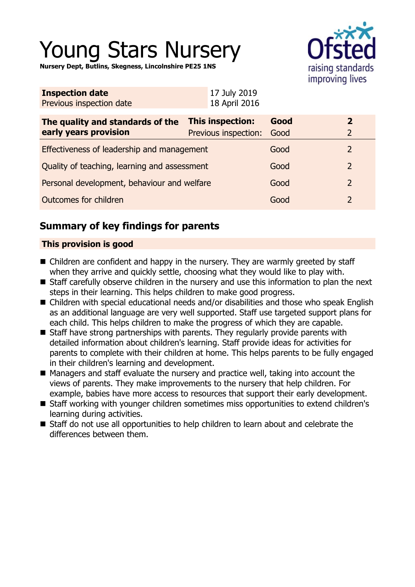# Young Stars Nursery

**Nursery Dept, Butlins, Skegness, Lincolnshire PE25 1NS**



| <b>Inspection date</b>   | 17 July 2019  |
|--------------------------|---------------|
| Previous inspection date | 18 April 2016 |

| The quality and standards of the<br>early years provision | <b>This inspection:</b><br>Previous inspection: | Good<br>Good |               |  |
|-----------------------------------------------------------|-------------------------------------------------|--------------|---------------|--|
| Effectiveness of leadership and management                |                                                 | Good         |               |  |
| Quality of teaching, learning and assessment              |                                                 | Good         | $\mathcal{L}$ |  |
| Personal development, behaviour and welfare               |                                                 | Good         |               |  |
| Outcomes for children                                     |                                                 | Good         |               |  |

# **Summary of key findings for parents**

## **This provision is good**

- Children are confident and happy in the nursery. They are warmly greeted by staff when they arrive and quickly settle, choosing what they would like to play with.
- Staff carefully observe children in the nursery and use this information to plan the next steps in their learning. This helps children to make good progress.
- Children with special educational needs and/or disabilities and those who speak English as an additional language are very well supported. Staff use targeted support plans for each child. This helps children to make the progress of which they are capable.
- $\blacksquare$  Staff have strong partnerships with parents. They regularly provide parents with detailed information about children's learning. Staff provide ideas for activities for parents to complete with their children at home. This helps parents to be fully engaged in their children's learning and development.
- $\blacksquare$  Managers and staff evaluate the nursery and practice well, taking into account the views of parents. They make improvements to the nursery that help children. For example, babies have more access to resources that support their early development.
- Staff working with younger children sometimes miss opportunities to extend children's learning during activities.
- Staff do not use all opportunities to help children to learn about and celebrate the differences between them.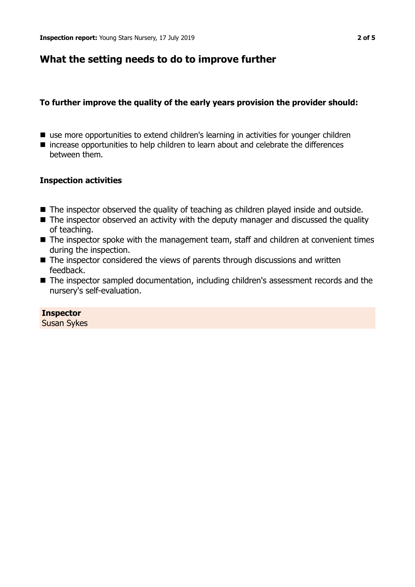# **What the setting needs to do to improve further**

## **To further improve the quality of the early years provision the provider should:**

- use more opportunities to extend children's learning in activities for younger children
- $\blacksquare$  increase opportunities to help children to learn about and celebrate the differences between them.

## **Inspection activities**

- The inspector observed the quality of teaching as children played inside and outside.
- $\blacksquare$  The inspector observed an activity with the deputy manager and discussed the quality of teaching.
- $\blacksquare$  The inspector spoke with the management team, staff and children at convenient times during the inspection.
- $\blacksquare$  The inspector considered the views of parents through discussions and written feedback.
- The inspector sampled documentation, including children's assessment records and the nursery's self-evaluation.

**Inspector** Susan Sykes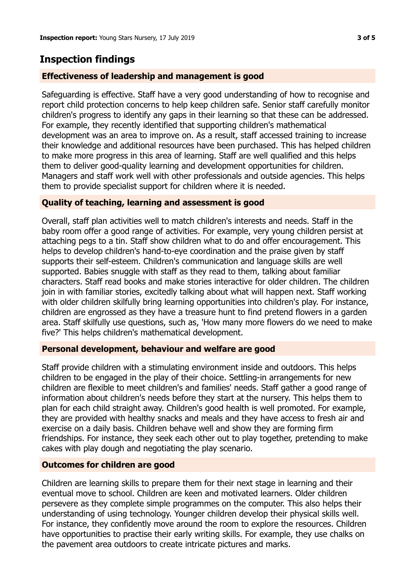# **Inspection findings**

#### **Effectiveness of leadership and management is good**

Safeguarding is effective. Staff have a very good understanding of how to recognise and report child protection concerns to help keep children safe. Senior staff carefully monitor children's progress to identify any gaps in their learning so that these can be addressed. For example, they recently identified that supporting children's mathematical development was an area to improve on. As a result, staff accessed training to increase their knowledge and additional resources have been purchased. This has helped children to make more progress in this area of learning. Staff are well qualified and this helps them to deliver good-quality learning and development opportunities for children. Managers and staff work well with other professionals and outside agencies. This helps them to provide specialist support for children where it is needed.

### **Quality of teaching, learning and assessment is good**

Overall, staff plan activities well to match children's interests and needs. Staff in the baby room offer a good range of activities. For example, very young children persist at attaching pegs to a tin. Staff show children what to do and offer encouragement. This helps to develop children's hand-to-eye coordination and the praise given by staff supports their self-esteem. Children's communication and language skills are well supported. Babies snuggle with staff as they read to them, talking about familiar characters. Staff read books and make stories interactive for older children. The children join in with familiar stories, excitedly talking about what will happen next. Staff working with older children skilfully bring learning opportunities into children's play. For instance, children are engrossed as they have a treasure hunt to find pretend flowers in a garden area. Staff skilfully use questions, such as, 'How many more flowers do we need to make five?' This helps children's mathematical development.

#### **Personal development, behaviour and welfare are good**

Staff provide children with a stimulating environment inside and outdoors. This helps children to be engaged in the play of their choice. Settling-in arrangements for new children are flexible to meet children's and families' needs. Staff gather a good range of information about children's needs before they start at the nursery. This helps them to plan for each child straight away. Children's good health is well promoted. For example, they are provided with healthy snacks and meals and they have access to fresh air and exercise on a daily basis. Children behave well and show they are forming firm friendships. For instance, they seek each other out to play together, pretending to make cakes with play dough and negotiating the play scenario.

#### **Outcomes for children are good**

Children are learning skills to prepare them for their next stage in learning and their eventual move to school. Children are keen and motivated learners. Older children persevere as they complete simple programmes on the computer. This also helps their understanding of using technology. Younger children develop their physical skills well. For instance, they confidently move around the room to explore the resources. Children have opportunities to practise their early writing skills. For example, they use chalks on the pavement area outdoors to create intricate pictures and marks.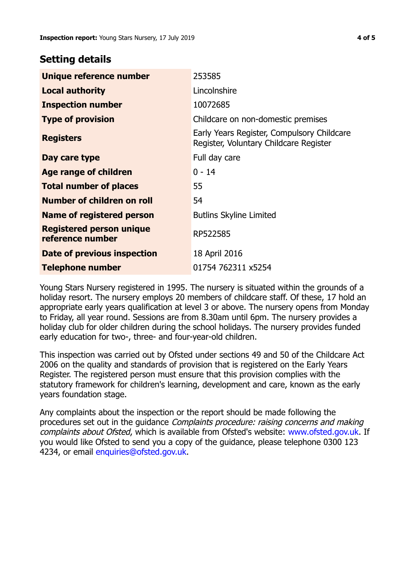## **Setting details**

| Unique reference number                      | 253585                                                                               |
|----------------------------------------------|--------------------------------------------------------------------------------------|
| <b>Local authority</b>                       | Lincolnshire                                                                         |
| <b>Inspection number</b>                     | 10072685                                                                             |
| <b>Type of provision</b>                     | Childcare on non-domestic premises                                                   |
| <b>Registers</b>                             | Early Years Register, Compulsory Childcare<br>Register, Voluntary Childcare Register |
| Day care type                                | Full day care                                                                        |
| Age range of children                        | $0 - 14$                                                                             |
| <b>Total number of places</b>                | 55                                                                                   |
| Number of children on roll                   | 54                                                                                   |
| Name of registered person                    | <b>Butlins Skyline Limited</b>                                                       |
| Registered person unique<br>reference number | RP522585                                                                             |
| Date of previous inspection                  | 18 April 2016                                                                        |
| <b>Telephone number</b>                      | 01754 762311 x5254                                                                   |

Young Stars Nursery registered in 1995. The nursery is situated within the grounds of a holiday resort. The nursery employs 20 members of childcare staff. Of these, 17 hold an appropriate early years qualification at level 3 or above. The nursery opens from Monday to Friday, all year round. Sessions are from 8.30am until 6pm. The nursery provides a holiday club for older children during the school holidays. The nursery provides funded early education for two-, three- and four-year-old children.

This inspection was carried out by Ofsted under sections 49 and 50 of the Childcare Act 2006 on the quality and standards of provision that is registered on the Early Years Register. The registered person must ensure that this provision complies with the statutory framework for children's learning, development and care, known as the early years foundation stage.

Any complaints about the inspection or the report should be made following the procedures set out in the guidance Complaints procedure: raising concerns and making complaints about Ofsted, which is available from Ofsted's website: www.ofsted.gov.uk. If you would like Ofsted to send you a copy of the guidance, please telephone 0300 123 4234, or email [enquiries@ofsted.gov.uk.](mailto:enquiries@ofsted.gov.uk)